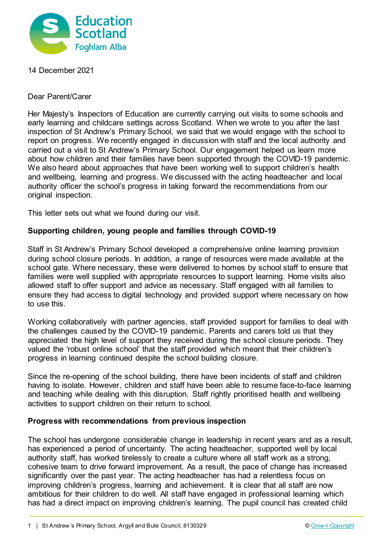

14 December 2021

Dear Parent/Carer

Her Majesty's Inspectors of Education are currently carrying out visits to some schools and early learning and childcare settings across Scotland. When we wrote to you after the last inspection of St Andrew's Primary School, we said that we would engage with the school to report on progress. We recently engaged in discussion with staff and the local authority and carried out a visit to St Andrew's Primary School. Our engagement helped us learn more about how children and their families have been supported through the COVID-19 pandemic. We also heard about approaches that have been working well to support children's health and wellbeing, learning and progress. We discussed with the acting headteacher and local authority officer the school's progress in taking forward the recommendations from our original inspection.

This letter sets out what we found during our visit.

## **Supporting children, young people and families through COVID-19**

Staff in St Andrew's Primary School developed a comprehensive online learning provision during school closure periods. In addition, a range of resources were made available at the school gate. Where necessary, these were delivered to homes by school staff to ensure that families were well supplied with appropriate resources to support learning. Home visits also allowed staff to offer support and advice as necessary. Staff engaged with all families to ensure they had access to digital technology and provided support where necessary on how to use this.

Working collaboratively with partner agencies, staff provided support for families to deal with the challenges caused by the COVID-19 pandemic. Parents and carers told us that they appreciated the high level of support they received during the school closure periods. They valued the 'robust online school' that the staff provided which meant that their children's progress in learning continued despite the school building closure.

Since the re-opening of the school building, there have been incidents of staff and children having to isolate. However, children and staff have been able to resume face-to-face learning and teaching while dealing with this disruption. Staff rightly prioritised health and wellbeing activities to support children on their return to school.

## **Progress with recommendations from previous inspection**

The school has undergone considerable change in leadership in recent years and as a result, has experienced a period of uncertainty. The acting headteacher, supported well by local authority staff, has worked tirelessly to create a culture where all staff work as a strong, cohesive team to drive forward improvement. As a result, the pace of change has increased significantly over the past year. The acting headteacher has had a relentless focus on improving children's progress, learning and achievement. It is clear that all staff are now ambitious for their children to do well. All staff have engaged in professional learning which has had a direct impact on improving children's learning. The pupil council has created child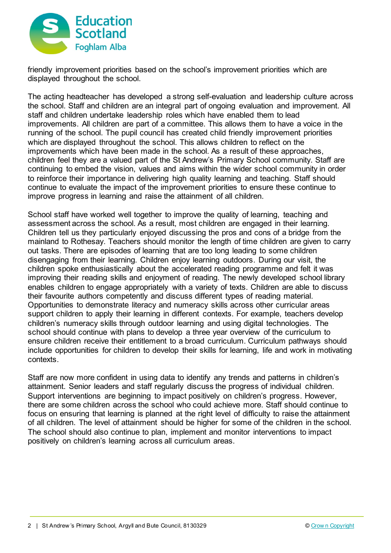

friendly improvement priorities based on the school's improvement priorities which are displayed throughout the school.

The acting headteacher has developed a strong self-evaluation and leadership culture across the school. Staff and children are an integral part of ongoing evaluation and improvement. All staff and children undertake leadership roles which have enabled them to lead improvements. All children are part of a committee. This allows them to have a voice in the running of the school. The pupil council has created child friendly improvement priorities which are displayed throughout the school. This allows children to reflect on the improvements which have been made in the school. As a result of these approaches, children feel they are a valued part of the St Andrew's Primary School community. Staff are continuing to embed the vision, values and aims within the wider school community in order to reinforce their importance in delivering high quality learning and teaching. Staff should continue to evaluate the impact of the improvement priorities to ensure these continue to improve progress in learning and raise the attainment of all children.

School staff have worked well together to improve the quality of learning, teaching and assessment across the school. As a result, most children are engaged in their learning. Children tell us they particularly enjoyed discussing the pros and cons of a bridge from the mainland to Rothesay. Teachers should monitor the length of time children are given to carry out tasks. There are episodes of learning that are too long leading to some children disengaging from their learning. Children enjoy learning outdoors. During our visit, the children spoke enthusiastically about the accelerated reading programme and felt it was improving their reading skills and enjoyment of reading. The newly developed school library enables children to engage appropriately with a variety of texts. Children are able to discuss their favourite authors competently and discuss different types of reading material. Opportunities to demonstrate literacy and numeracy skills across other curricular areas support children to apply their learning in different contexts. For example, teachers develop children's numeracy skills through outdoor learning and using digital technologies. The school should continue with plans to develop a three year overview of the curriculum to ensure children receive their entitlement to a broad curriculum. Curriculum pathways should include opportunities for children to develop their skills for learning, life and work in motivating contexts.

Staff are now more confident in using data to identify any trends and patterns in children's attainment. Senior leaders and staff regularly discuss the progress of individual children. Support interventions are beginning to impact positively on children's progress. However, there are some children across the school who could achieve more. Staff should continue to focus on ensuring that learning is planned at the right level of difficulty to raise the attainment of all children. The level of attainment should be higher for some of the children in the school. The school should also continue to plan, implement and monitor interventions to impact positively on children's learning across all curriculum areas.